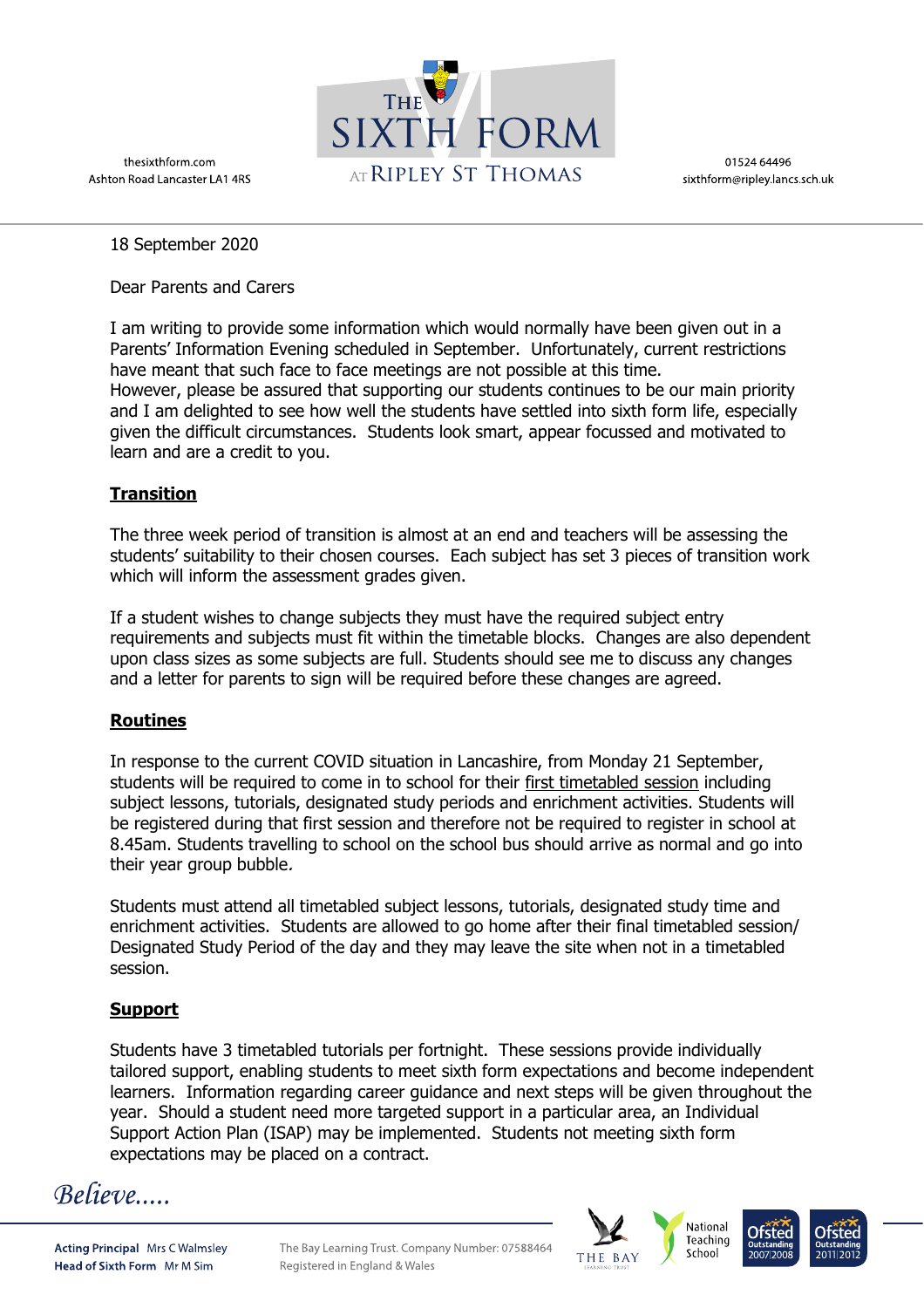thesixthform.com Ashton Road Lancaster LA1 4RS



01524 64496 sixthform@ripley.lancs.sch.uk

18 September 2020

Dear Parents and Carers

I am writing to provide some information which would normally have been given out in a Parents' Information Evening scheduled in September. Unfortunately, current restrictions have meant that such face to face meetings are not possible at this time. However, please be assured that supporting our students continues to be our main priority and I am delighted to see how well the students have settled into sixth form life, especially given the difficult circumstances. Students look smart, appear focussed and motivated to learn and are a credit to you.

## **Transition**

The three week period of transition is almost at an end and teachers will be assessing the students' suitability to their chosen courses. Each subject has set 3 pieces of transition work which will inform the assessment grades given.

If a student wishes to change subjects they must have the required subject entry requirements and subjects must fit within the timetable blocks. Changes are also dependent upon class sizes as some subjects are full. Students should see me to discuss any changes and a letter for parents to sign will be required before these changes are agreed.

# **Routines**

In response to the current COVID situation in Lancashire, from Monday 21 September, students will be required to come in to school for their first timetabled session including subject lessons, tutorials, designated study periods and enrichment activities. Students will be registered during that first session and therefore not be required to register in school at 8.45am. Students travelling to school on the school bus should arrive as normal and go into their year group bubble.

Students must attend all timetabled subject lessons, tutorials, designated study time and enrichment activities. Students are allowed to go home after their final timetabled session/ Designated Study Period of the day and they may leave the site when not in a timetabled session.

# **Support**

Students have 3 timetabled tutorials per fortnight. These sessions provide individually tailored support, enabling students to meet sixth form expectations and become independent learners. Information regarding career guidance and next steps will be given throughout the year. Should a student need more targeted support in a particular area, an Individual Support Action Plan (ISAP) may be implemented. Students not meeting sixth form expectations may be placed on a contract.

Believe....

**Acting Principal Mrs C Walmsley** Head of Sixth Form Mr M Sim

The Bay Learning Trust, Company Number: 07588464 Registered in England & Wales